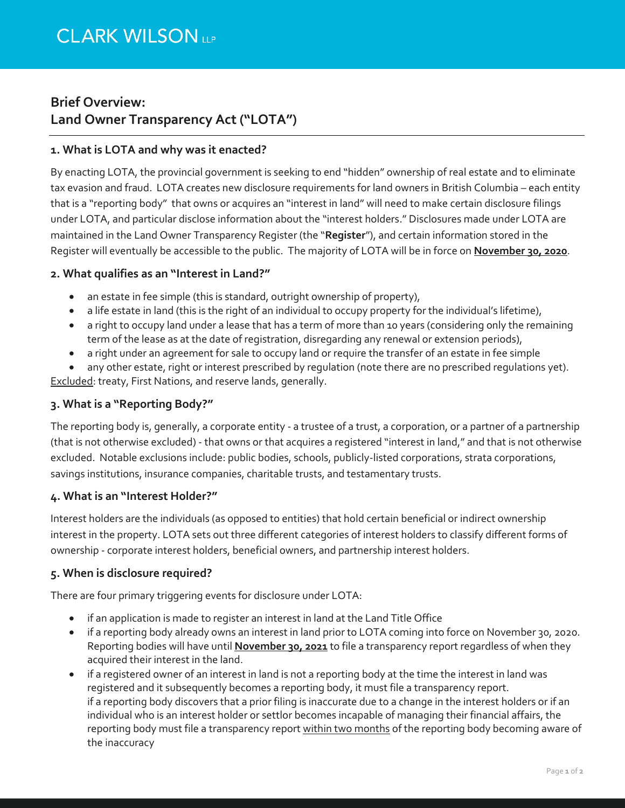# **Brief Overview: Land Owner Transparency Act ("LOTA")**

#### **1. What is LOTA and why was it enacted?**

By enacting LOTA, the provincial government is seeking to end "hidden" ownership of real estate and to eliminate tax evasion and fraud. LOTA creates new disclosure requirements for land owners in British Columbia – each entity that is a "reporting body" that owns or acquires an "interest in land" will need to make certain disclosure filings under LOTA, and particular disclose information about the "interest holders." Disclosures made under LOTA are maintained in the Land Owner Transparency Register (the "**Register**"), and certain information stored in the Register will eventually be accessible to the public. The majority of LOTA will be in force on **November 30, 2020**.

#### **2. What qualifies as an "Interest in Land?"**

- an estate in fee simple (this is standard, outright ownership of property),
- a life estate in land (this is the right of an individual to occupy property for the individual's lifetime),
- a right to occupy land under a lease that has a term of more than 10 years (considering only the remaining term of the lease as at the date of registration, disregarding any renewal or extension periods),
- a right under an agreement for sale to occupy land or require the transfer of an estate in fee simple

 any other estate, right or interest prescribed by regulation (note there are no prescribed regulations yet). Excluded: treaty, First Nations, and reserve lands, generally.

### **3. What is a "Reporting Body?"**

The reporting body is, generally, a corporate entity - a trustee of a trust, a corporation, or a partner of a partnership (that is not otherwise excluded) - that owns or that acquires a registered "interest in land," and that is not otherwise excluded. Notable exclusions include: public bodies, schools, publicly-listed corporations, strata corporations, savings institutions, insurance companies, charitable trusts, and testamentary trusts.

#### **4. What is an "Interest Holder?"**

Interest holders are the individuals (as opposed to entities) that hold certain beneficial or indirect ownership interest in the property. LOTA sets out three different categories of interest holders to classify different forms of ownership - corporate interest holders, beneficial owners, and partnership interest holders.

### **5. When is disclosure required?**

There are four primary triggering events for disclosure under LOTA:

- if an application is made to register an interest in land at the Land Title Office
- if a reporting body already owns an interest in land prior to LOTA coming into force on November 30, 2020. Reporting bodies will have until **November 30, 2021** to file a transparency report regardless of when they acquired their interest in the land.
- if a registered owner of an interest in land is not a reporting body at the time the interest in land was registered and it subsequently becomes a reporting body, it must file a transparency report. if a reporting body discovers that a prior filing is inaccurate due to a change in the interest holders or if an individual who is an interest holder or settlor becomes incapable of managing their financial affairs, the reporting body must file a transparency report within two months of the reporting body becoming aware of the inaccuracy